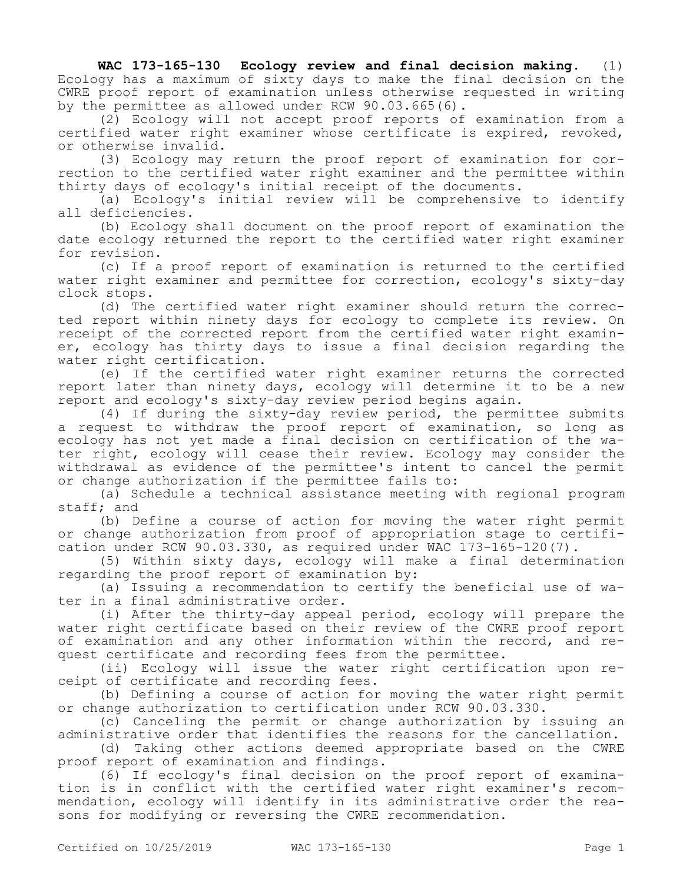**WAC 173-165-130 Ecology review and final decision making.** (1) Ecology has a maximum of sixty days to make the final decision on the CWRE proof report of examination unless otherwise requested in writing by the permittee as allowed under RCW 90.03.665(6).

(2) Ecology will not accept proof reports of examination from a certified water right examiner whose certificate is expired, revoked, or otherwise invalid.

(3) Ecology may return the proof report of examination for correction to the certified water right examiner and the permittee within thirty days of ecology's initial receipt of the documents.

(a) Ecology's initial review will be comprehensive to identify all deficiencies.

(b) Ecology shall document on the proof report of examination the date ecology returned the report to the certified water right examiner for revision.

(c) If a proof report of examination is returned to the certified water right examiner and permittee for correction, ecology's sixty-day clock stops.

(d) The certified water right examiner should return the corrected report within ninety days for ecology to complete its review. On receipt of the corrected report from the certified water right examiner, ecology has thirty days to issue a final decision regarding the water right certification.

(e) If the certified water right examiner returns the corrected report later than ninety days, ecology will determine it to be a new report and ecology's sixty-day review period begins again.

(4) If during the sixty-day review period, the permittee submits a request to withdraw the proof report of examination, so long as ecology has not yet made a final decision on certification of the water right, ecology will cease their review. Ecology may consider the withdrawal as evidence of the permittee's intent to cancel the permit or change authorization if the permittee fails to:

(a) Schedule a technical assistance meeting with regional program staff; and

(b) Define a course of action for moving the water right permit or change authorization from proof of appropriation stage to certification under RCW 90.03.330, as required under WAC 173-165-120(7).

(5) Within sixty days, ecology will make a final determination regarding the proof report of examination by:

(a) Issuing a recommendation to certify the beneficial use of water in a final administrative order.

(i) After the thirty-day appeal period, ecology will prepare the water right certificate based on their review of the CWRE proof report of examination and any other information within the record, and request certificate and recording fees from the permittee.

(ii) Ecology will issue the water right certification upon receipt of certificate and recording fees.

(b) Defining a course of action for moving the water right permit or change authorization to certification under RCW 90.03.330.

(c) Canceling the permit or change authorization by issuing an administrative order that identifies the reasons for the cancellation.

(d) Taking other actions deemed appropriate based on the CWRE proof report of examination and findings.

(6) If ecology's final decision on the proof report of examination is in conflict with the certified water right examiner's recommendation, ecology will identify in its administrative order the reasons for modifying or reversing the CWRE recommendation.